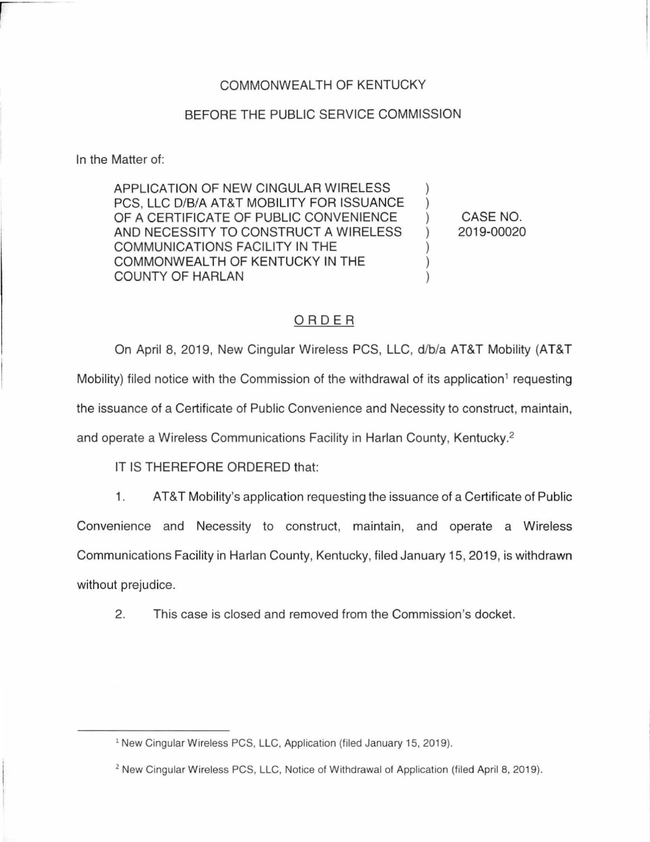## COMMONWEALTH OF KENTUCKY

## BEFORE THE PUBLIC SERVICE COMMISSION

In the Matter of:

APPLICATION OF NEW CINGULAR WIRELESS  $\qquad$  ) PCS, LLC D/B/A AT&T MOBILITY FOR ISSUANCE ) OF A CERTIFICATE OF PUBLIC CONVENIENCE AND NECESSITY TO CONSTRUCT A WIRELESS ) COMMUNICATIONS FACILITY IN THE COMMONWEALTH OF KENTUCKY IN THE  $)$ COUNTY OF HARLAN )

CASE NO. 2019-00020

## ORDER

On April 8, 2019, New Cingular Wireless PCS, LLC, d/b/a AT&T Mobility (AT&T Mobility) filed notice with the Commission of the withdrawal of its application<sup>1</sup> requesting the issuance of a Certificate of Public Convenience and Necessity to construct, maintain, and operate a Wireless Communications Facility in Harlan County, Kentucky.<sup>2</sup>

IT IS THEREFORE ORDERED that:

- 1. AT&T Mobility's application requesting the issuance of a Certificate of Public Convenience and Necessity to construct, maintain, and operate a Wireless Communications Facility in Harlan County, Kentucky, filed January 15, 2019, is withdrawn without prejudice.
	- 2. This case is closed and removed from the Commission's docket.

<sup>&</sup>lt;sup>1</sup> New Cingular Wireless PCS, LLC, Application (filed January 15, 2019).

<sup>&</sup>lt;sup>2</sup> New Cingular Wireless PCS, LLC, Notice of Withdrawal of Application (filed April 8, 2019).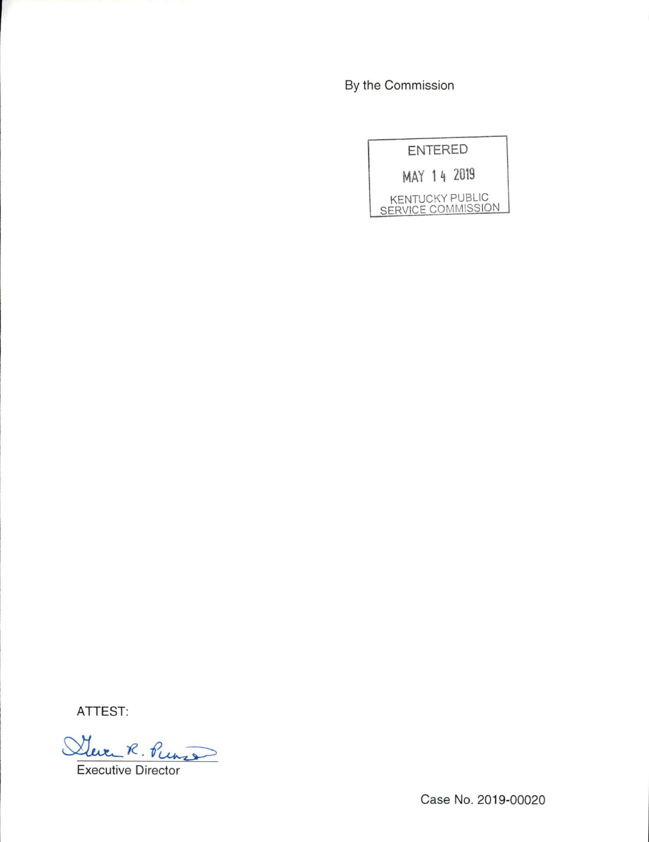By the Commission

| <b>ENTERED</b> |                                                     |
|----------------|-----------------------------------------------------|
|                | MAY 14 2019                                         |
|                | <b>KENTUCKY PUBLIC</b><br><b>SERVICE COMMISSION</b> |

ATTEST:

Steven R. Puns Executive Director

Case No. 2019-00020